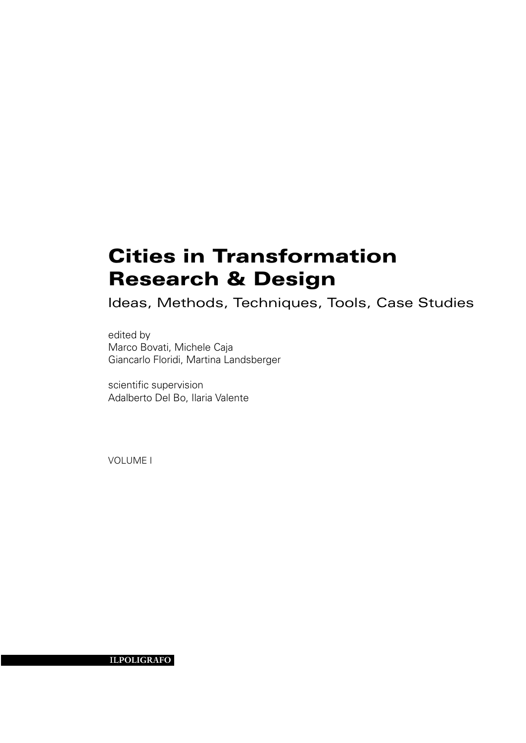# Cities in Transformation Research & Design

Ideas, Methods, Techniques, Tools, Case Studies

edited by Marco Bovati, Michele Caja Giancarlo Floridi, Martina Landsberger

scientific supervision Adalberto Del Bo, Ilaria Valente

VOLUME I

il**poligrafo**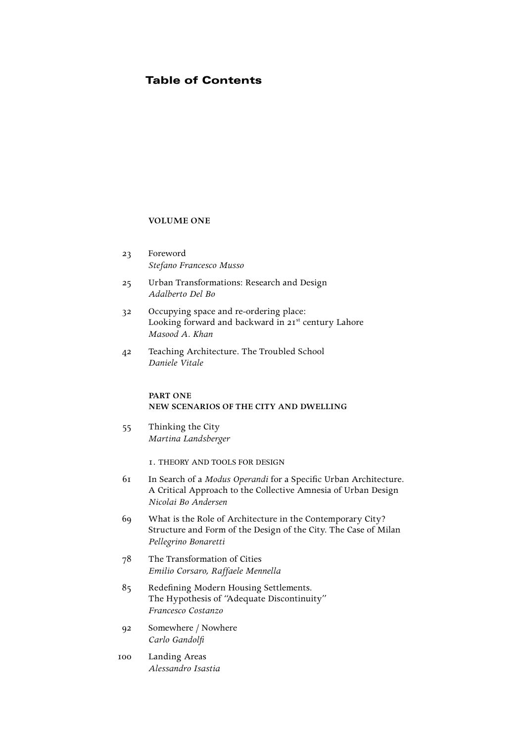# Table of Contents

#### **VOLUME ONE**

- 23 Foreword  *Stefano Francesco Musso*
- 25 Urban Transformations: Research and Design  *Adalberto Del Bo*
- 32 Occupying space and re-ordering place: Looking forward and backward in 21<sup>st</sup> century Lahore  *Masood A. Khan*
- 42 Teaching Architecture. The Troubled School  *Daniele Vitale*

#### **part one new scenarios of the city and dwelling**

55 Thinking the City  *Martina Landsberger*

1. Theory and Tools for Design

- 61 In Search of a *Modus Operandi* for a Specific Urban Architecture. A Critical Approach to the Collective Amnesia of Urban Design  *Nicolai Bo Andersen*
- 69 What is the Role of Architecture in the Contemporary City? Structure and Form of the Design of the City. The Case of Milan  *Pellegrino Bonaretti*
- 78 The Transformation of Cities  *Emilio Corsaro, Raffaele Mennella*
- 85 Redefining Modern Housing Settlements. The Hypothesis of "Adequate Discontinuity"  *Francesco Costanzo*
- 92 Somewhere / Nowhere  *Carlo Gandolfi*
- 100 Landing Areas  *Alessandro Isastia*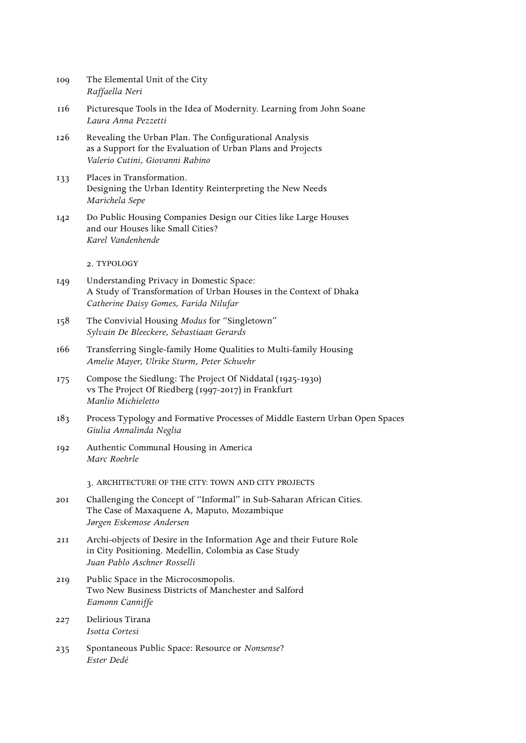| 109 | The Elemental Unit of the City |
|-----|--------------------------------|
|     | Raffaella Neri                 |

- 116 Picturesque Tools in the Idea of Modernity. Learning from John Soane  *Laura Anna Pezzetti*
- 126 Revealing the Urban Plan. The Configurational Analysis as a Support for the Evaluation of Urban Plans and Projects  *Valerio Cutini, Giovanni Rabino*
- 133 Places in Transformation. Designing the Urban Identity Reinterpreting the New Needs  *Marichela Sepe*
- 142 Do Public Housing Companies Design our Cities like Large Houses and our Houses like Small Cities?  *Karel Vandenhende*

2. Typology

- 149 Understanding Privacy in Domestic Space: A Study of Transformation of Urban Houses in the Context of Dhaka  *Catherine Daisy Gomes, Farida Nilufar*
- 158 The Convivial Housing *Modus* for "Singletown"  *Sylvain De Bleeckere, Sebastiaan Gerards*
- 166 Transferring Single-family Home Qualities to Multi-family Housing  *Amelie Mayer, Ulrike Sturm, Peter Schwehr*
- 175 Compose the Siedlung: The Project Of Niddatal (1925-1930) vs The Project Of Riedberg (1997-2017) in Frankfurt  *Manlio Michieletto*
- 183 Process Typology and Formative Processes of Middle Eastern Urban Open Spaces  *Giulia Annalinda Neglia*
- 192 Authentic Communal Housing in America  *Marc Roehrle*

3. architecture of the City: Town and City Projects

- 201 Challenging the Concept of "Informal" in Sub-Saharan African Cities. The Case of Maxaquene A, Maputo, Mozambique  *Jørgen Eskemose Andersen*
- 211 Archi-objects of Desire in the Information Age and their Future Role in City Positioning. Medellin, Colombia as Case Study  *Juan Pablo Aschner Rosselli*
- 219 Public Space in the Microcosmopolis. Two New Business Districts of Manchester and Salford  *Eamonn Canniffe*
- 227 Delirious Tirana  *Isotta Cortesi*
- 235 Spontaneous Public Space: Resource or *Nonsense*?  *Ester Dedé*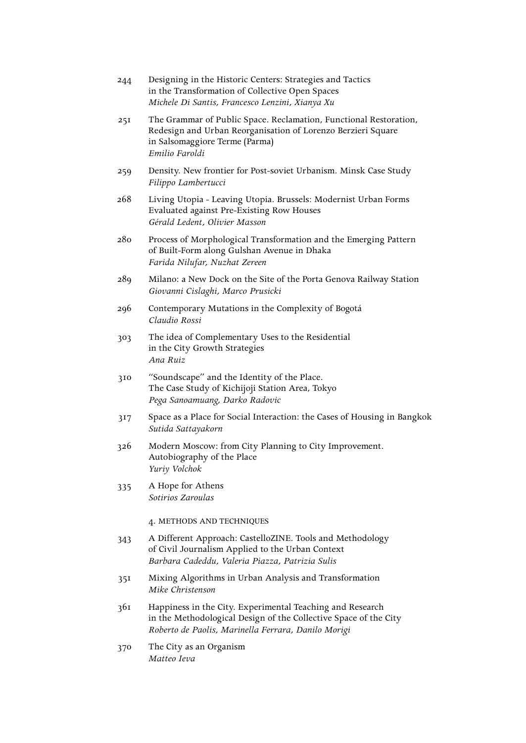| 244 | Designing in the Historic Centers: Strategies and Tactics<br>in the Transformation of Collective Open Spaces<br>Michele Di Santis, Francesco Lenzini, Xianya Xu                       |
|-----|---------------------------------------------------------------------------------------------------------------------------------------------------------------------------------------|
| 251 | The Grammar of Public Space. Reclamation, Functional Restoration,<br>Redesign and Urban Reorganisation of Lorenzo Berzieri Square<br>in Salsomaggiore Terme (Parma)<br>Emilio Faroldi |
| 259 | Density. New frontier for Post-soviet Urbanism. Minsk Case Study<br>Filippo Lambertucci                                                                                               |
| 268 | Living Utopia - Leaving Utopia. Brussels: Modernist Urban Forms<br>Evaluated against Pre-Existing Row Houses<br>Gérald Ledent, Olivier Masson                                         |
| 280 | Process of Morphological Transformation and the Emerging Pattern<br>of Built-Form along Gulshan Avenue in Dhaka<br>Farida Nilufar, Nuzhat Zereen                                      |
| 289 | Milano: a New Dock on the Site of the Porta Genova Railway Station<br>Giovanni Cislaghi, Marco Prusicki                                                                               |
| 296 | Contemporary Mutations in the Complexity of Bogotá<br>Claudio Rossi                                                                                                                   |
| 303 | The idea of Complementary Uses to the Residential<br>in the City Growth Strategies<br>Ana Ruiz                                                                                        |
| 310 | "Soundscape" and the Identity of the Place.<br>The Case Study of Kichijoji Station Area, Tokyo<br>Pega Sanoamuang, Darko Radovic                                                      |
| 317 | Space as a Place for Social Interaction: the Cases of Housing in Bangkok<br>Sutida Sattayakorn                                                                                        |
| 326 | Modern Moscow: from City Planning to City Improvement.<br>Autobiography of the Place<br>Yuriy Volchok                                                                                 |
| 335 | A Hope for Athens<br>Sotirios Zaroulas                                                                                                                                                |
|     | 4. METHODS AND TECHNIQUES                                                                                                                                                             |
| 343 | A Different Approach: CastelloZINE. Tools and Methodology<br>of Civil Journalism Applied to the Urban Context<br>Barbara Cadeddu, Valeria Piazza, Patrizia Sulis                      |
| 351 | Mixing Algorithms in Urban Analysis and Transformation<br>Mike Christenson                                                                                                            |
| 361 | Happiness in the City. Experimental Teaching and Research<br>in the Methodological Design of the Collective Space of the City<br>Roberto de Paolis, Marinella Ferrara, Danilo Morigi  |
| 370 | The City as an Organism<br>Matteo Ieva                                                                                                                                                |
|     |                                                                                                                                                                                       |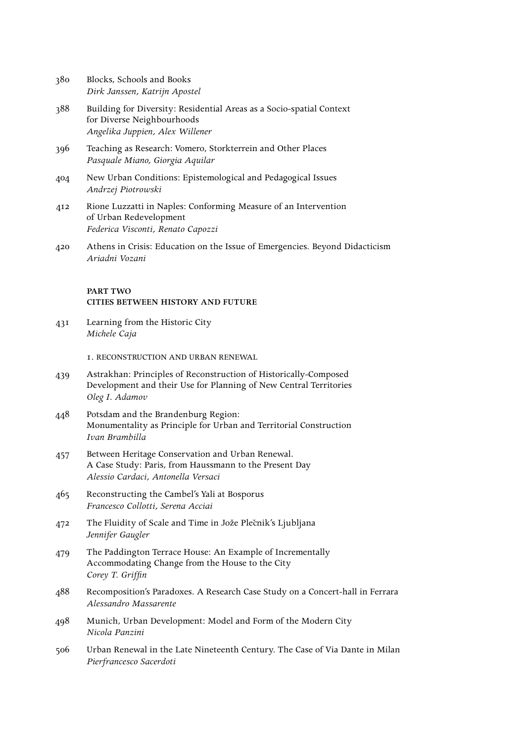| 380 | Blocks, Schools and Books     |
|-----|-------------------------------|
|     | Dirk Janssen, Katrijn Apostel |

- 388 Building for Diversity: Residential Areas as a Socio-spatial Context for Diverse Neighbourhoods  *Angelika Juppien, Alex Willener*
- 396 Teaching as Research: Vomero, Storkterrein and Other Places  *Pasquale Miano, Giorgia Aquilar*
- 404 New Urban Conditions: Epistemological and Pedagogical Issues  *Andrzej Piotrowski*
- 412 Rione Luzzatti in Naples: Conforming Measure of an Intervention of Urban Redevelopment  *Federica Visconti, Renato Capozzi*
- 420 Athens in Crisis: Education on the Issue of Emergencies. Beyond Didacticism  *Ariadni Vozani*

## **part two cities between history and future**

431 Learning from the Historic City  *Michele Caja*

1. Reconstruction and Urban Renewal

- 439 Astrakhan: Principles of Reconstruction of Historically-Composed Development and their Use for Planning of New Central Territories  *Oleg I. Adamov*
- 448 Potsdam and the Brandenburg Region: Monumentality as Principle for Urban and Territorial Construction  *Ivan Brambilla*
- 457 Between Heritage Conservation and Urban Renewal. A Case Study: Paris, from Haussmann to the Present Day  *Alessio Cardaci, Antonella Versaci*
- 465 Reconstructing the Cambel's Yali at Bosporus  *Francesco Collotti, Serena Acciai*
- 472 The Fluidity of Scale and Time in Jože Plečnik's Ljubljana  *Jennifer Gaugler*
- 479 The Paddington Terrace House: An Example of Incrementally Accommodating Change from the House to the City  *Corey T. Griffin*
- 488 Recomposition's Paradoxes. A Research Case Study on a Concert-hall in Ferrara  *Alessandro Massarente*
- 498 Munich, Urban Development: Model and Form of the Modern City  *Nicola Panzini*
- 506 Urban Renewal in the Late Nineteenth Century. The Case of Via Dante in Milan  *Pierfrancesco Sacerdoti*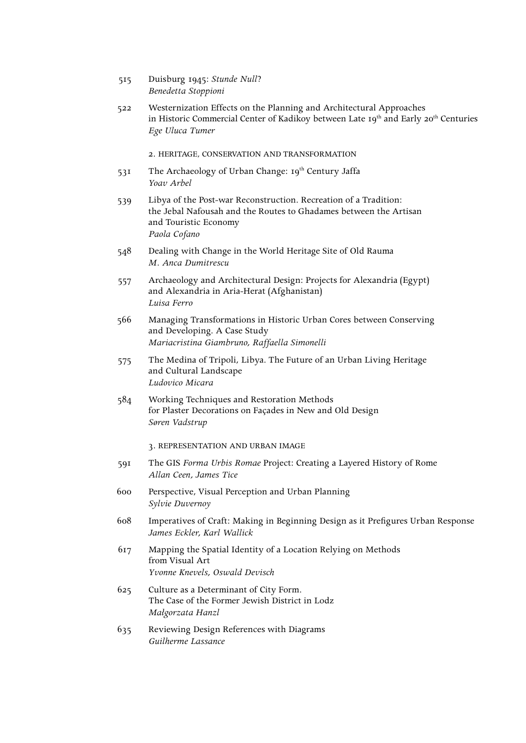- 515 Duisburg 1945: *Stunde Null*?  *Benedetta Stoppioni*
- 522 Westernization Effects on the Planning and Architectural Approaches in Historic Commercial Center of Kadikoy between Late 19<sup>th</sup> and Early 20<sup>th</sup> Centuries  *Ege Uluca Tumer*

2. Heritage, Conservation and Transformation

- 531 The Archaeology of Urban Change: 19th Century Jaffa  *Yoav Arbel*
- 539 Libya of the Post-war Reconstruction. Recreation of a Tradition: the Jebal Nafousah and the Routes to Ghadames between the Artisan and Touristic Economy  *Paola Cofano*
- 548 Dealing with Change in the World Heritage Site of Old Rauma  *M. Anca Dumitrescu*
- 557 Archaeology and Architectural Design: Projects for Alexandria (Egypt) and Alexandria in Aria-Herat (Afghanistan)  *Luisa Ferro*
- 566 Managing Transformations in Historic Urban Cores between Conserving and Developing. A Case Study  *Mariacristina Giambruno, Raffaella Simonelli*
- 575 The Medina of Tripoli, Libya. The Future of an Urban Living Heritage and Cultural Landscape  *Ludovico Micara*
- 584 Working Techniques and Restoration Methods for Plaster Decorations on Façades in New and Old Design  *Søren Vadstrup*

3. Representation and Urban Image

- 591 The GIS *Forma Urbis Romae* Project: Creating a Layered History of Rome  *Allan Ceen, James Tice*
- 600 Perspective, Visual Perception and Urban Planning  *Sylvie Duvernoy*
- 608 Imperatives of Craft: Making in Beginning Design as it Prefigures Urban Response  *James Eckler, Karl Wallick*
- 617 Mapping the Spatial Identity of a Location Relying on Methods from Visual Art  *Yvonne Knevels, Oswald Devisch*
- 625 Culture as a Determinant of City Form. The Case of the Former Jewish District in Lodz  *Małgorzata Hanzl*
- 635 Reviewing Design References with Diagrams  *Guilherme Lassance*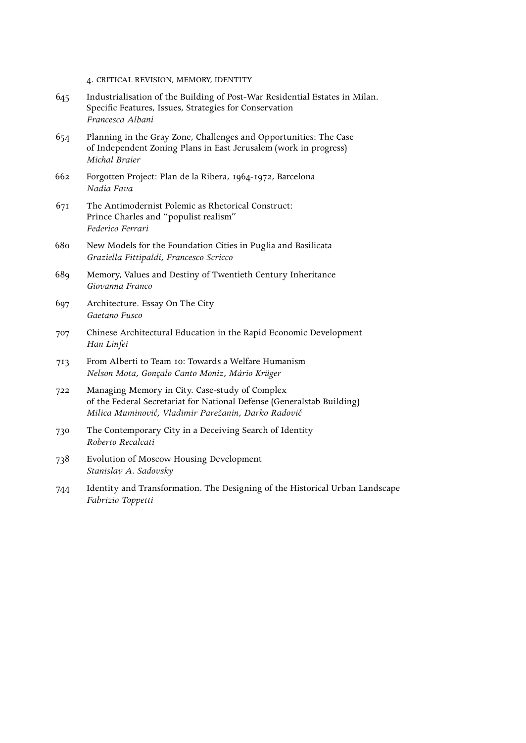4. Critical Revision, Memory, Identity

- 645 Industrialisation of the Building of Post-War Residential Estates in Milan. Specific Features, Issues, Strategies for Conservation  *Francesca Albani*
- 654 Planning in the Gray Zone, Challenges and Opportunities: The Case of Independent Zoning Plans in East Jerusalem (work in progress)  *Michal Braier*
- 662 Forgotten Project: Plan de la Ribera, 1964-1972, Barcelona  *Nadia Fava*
- 671 The Antimodernist Polemic as Rhetorical Construct: Prince Charles and "populist realism"  *Federico Ferrari*
- 680 New Models for the Foundation Cities in Puglia and Basilicata  *Graziella Fittipaldi, Francesco Scricco*
- 689 Memory, Values and Destiny of Twentieth Century Inheritance  *Giovanna Franco*
- 697 Architecture. Essay On The City  *Gaetano Fusco*
- 707 Chinese Architectural Education in the Rapid Economic Development  *Han Linfei*
- 713 From Alberti to Team 10: Towards a Welfare Humanism  *Nelson Mota, Gonçalo Canto Moniz, Mário Krüger*
- 722 Managing Memory in City. Case-study of Complex of the Federal Secretariat for National Defense (Generalstab Building)  *Milica Muminovic', Vladimir Parežanin, Darko Radovic'*
- 730 The Contemporary City in a Deceiving Search of Identity  *Roberto Recalcati*
- 738 Evolution of Moscow Housing Development  *Stanislav A. Sadovsky*
- 744 Identity and Transformation. The Designing of the Historical Urban Landscape  *Fabrizio Toppetti*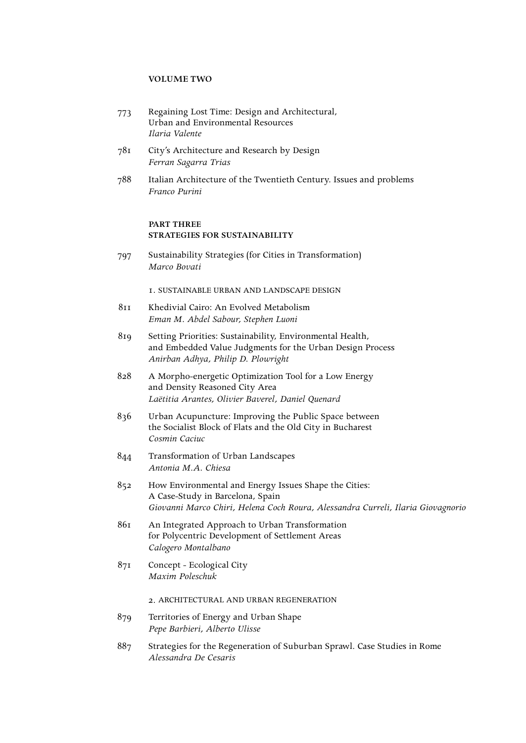#### **VOLUME TWO**

- 773 Regaining Lost Time: Design and Architectural, Urban and Environmental Resources  *Ilaria Valente*
- 781 City's Architecture and Research by Design  *Ferran Sagarra Trias*
- 788 Italian Architecture of the Twentieth Century. Issues and problems  *Franco Purini*

# **part three strategies for sustainability**

797 Sustainability Strategies (for Cities in Transformation)  *Marco Bovati*

1. Sustainable Urban and Landscape Design

- 811 Khedivial Cairo: An Evolved Metabolism  *Eman M. Abdel Sabour, Stephen Luoni*
- 819 Setting Priorities: Sustainability, Environmental Health, and Embedded Value Judgments for the Urban Design Process  *Anirban Adhya, Philip D. Plowright*
- 828 A Morpho-energetic Optimization Tool for a Low Energy and Density Reasoned City Area  *Laëtitia Arantes, Olivier Baverel, Daniel Quenard*
- 836 Urban Acupuncture: Improving the Public Space between the Socialist Block of Flats and the Old City in Bucharest  *Cosmin Caciuc*
- 844 Transformation of Urban Landscapes  *Antonia M.A. Chiesa*
- 852 How Environmental and Energy Issues Shape the Cities: A Case-Study in Barcelona, Spain  *Giovanni Marco Chiri, Helena Coch Roura, Alessandra Curreli, Ilaria Giovagnorio*
- 861 An Integrated Approach to Urban Transformation for Polycentric Development of Settlement Areas  *Calogero Montalbano*
- 871 Concept Ecological City  *Maxim Poleschuk*

### 2. Architectural and Urban Regeneration

- 879 Territories of Energy and Urban Shape  *Pepe Barbieri, Alberto Ulisse*
- 887 Strategies for the Regeneration of Suburban Sprawl. Case Studies in Rome  *Alessandra De Cesaris*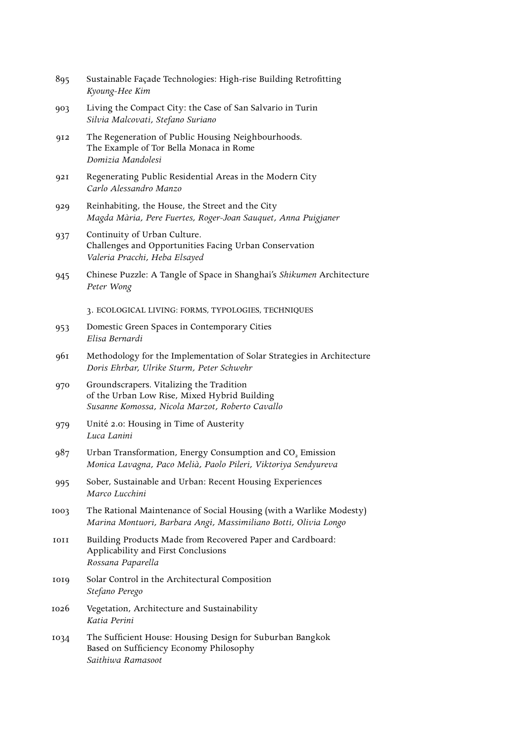| 895  | Sustainable Façade Technologies: High-rise Building Retrofitting<br>Kyoung-Hee Kim                                                          |
|------|---------------------------------------------------------------------------------------------------------------------------------------------|
| 903  | Living the Compact City: the Case of San Salvario in Turin<br>Silvia Malcovati, Stefano Suriano                                             |
| 912  | The Regeneration of Public Housing Neighbourhoods.<br>The Example of Tor Bella Monaca in Rome<br>Domizia Mandolesi                          |
| 921  | Regenerating Public Residential Areas in the Modern City<br>Carlo Alessandro Manzo                                                          |
| 929  | Reinhabiting, the House, the Street and the City<br>Magda Mària, Pere Fuertes, Roger-Joan Sauquet, Anna Puigjaner                           |
| 937  | Continuity of Urban Culture.<br>Challenges and Opportunities Facing Urban Conservation<br>Valeria Pracchi, Heba Elsayed                     |
| 945  | Chinese Puzzle: A Tangle of Space in Shanghai's Shikumen Architecture<br>Peter Wong                                                         |
|      | 3. ECOLOGICAL LIVING: FORMS, TYPOLOGIES, TECHNIQUES                                                                                         |
| 953  | Domestic Green Spaces in Contemporary Cities<br>Elisa Bernardi                                                                              |
| 961  | Methodology for the Implementation of Solar Strategies in Architecture<br>Doris Ehrbar, Ulrike Sturm, Peter Schwehr                         |
| 970  | Groundscrapers. Vitalizing the Tradition<br>of the Urban Low Rise, Mixed Hybrid Building<br>Susanne Komossa, Nicola Marzot, Roberto Cavallo |
| 979  | Unité 2.0: Housing in Time of Austerity<br>Luca Lanini                                                                                      |
| 987  | Urban Transformation, Energy Consumption and CO <sub>2</sub> Emission<br>Monica Lavagna, Paco Melià, Paolo Pileri, Viktoriya Sendyureva     |
| 995  | Sober, Sustainable and Urban: Recent Housing Experiences<br>Marco Lucchini                                                                  |
| 1003 | The Rational Maintenance of Social Housing (with a Warlike Modesty)<br>Marina Montuori, Barbara Angi, Massimiliano Botti, Olivia Longo      |
| 1011 | Building Products Made from Recovered Paper and Cardboard:<br>Applicability and First Conclusions<br>Rossana Paparella                      |
| 1019 | Solar Control in the Architectural Composition<br>Stefano Perego                                                                            |
| 1026 | Vegetation, Architecture and Sustainability<br>Katia Perini                                                                                 |
| 1034 | The Sufficient House: Housing Design for Suburban Bangkok<br>Based on Sufficiency Economy Philosophy<br>Saithiwa Ramasoot                   |
|      |                                                                                                                                             |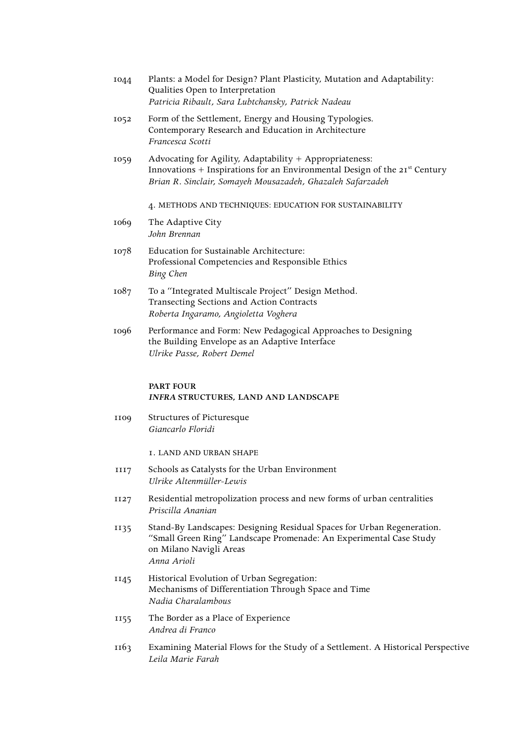| 1044 | Plants: a Model for Design? Plant Plasticity, Mutation and Adaptability:<br>Qualities Open to Interpretation<br>Patricia Ribault, Sara Lubtchansky, Patrick Nadeau                                    |
|------|-------------------------------------------------------------------------------------------------------------------------------------------------------------------------------------------------------|
| 1052 | Form of the Settlement, Energy and Housing Typologies.<br>Contemporary Research and Education in Architecture<br>Francesca Scotti                                                                     |
| 1059 | Advocating for Agility, Adaptability + Appropriateness:<br>Innovations + Inspirations for an Environmental Design of the $21st$ Century<br>Brian R. Sinclair, Somayeh Mousazadeh, Ghazaleh Safarzadeh |
|      | 4. METHODS AND TECHNIQUES: EDUCATION FOR SUSTAINABILITY                                                                                                                                               |
| 1069 | The Adaptive City<br>John Brennan                                                                                                                                                                     |
| 1078 | Education for Sustainable Architecture:<br>Professional Competencies and Responsible Ethics<br>Bing Chen                                                                                              |
| 1087 | To a "Integrated Multiscale Project" Design Method.<br>Transecting Sections and Action Contracts<br>Roberta Ingaramo, Angioletta Voghera                                                              |
| 1096 | Performance and Form: New Pedagogical Approaches to Designing<br>the Building Envelope as an Adaptive Interface<br>Ulrike Passe, Robert Demel                                                         |
|      | <b>PART FOUR</b><br>INFRA STRUCTURES, LAND AND LANDSCAPE                                                                                                                                              |
| 1109 | Structures of Picturesque<br>Giancarlo Floridi                                                                                                                                                        |

1. Land and Urban Shape

- 1117 Schools as Catalysts for the Urban Environment  *Ulrike Altenmüller-Lewis*
- 1127 Residential metropolization process and new forms of urban centralities  *Priscilla Ananian*
- 1135 Stand-By Landscapes: Designing Residual Spaces for Urban Regeneration. "Small Green Ring" Landscape Promenade: An Experimental Case Study on Milano Navigli Areas  *Anna Arioli*
- 1145 Historical Evolution of Urban Segregation: Mechanisms of Differentiation Through Space and Time  *Nadia Charalambous*
- 1155 The Border as a Place of Experience  *Andrea di Franco*
- 1163 Examining Material Flows for the Study of a Settlement. A Historical Perspective  *Leila Marie Farah*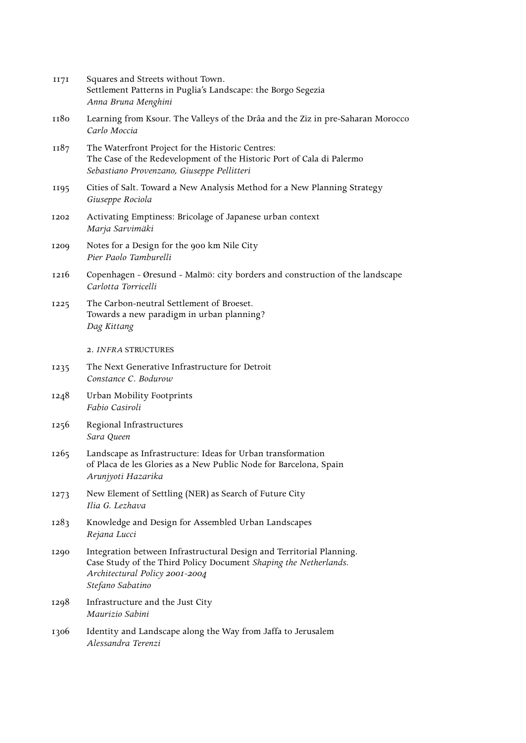| II7I | Squares and Streets without Town.<br>Settlement Patterns in Puglia's Landscape: the Borgo Segezia<br>Anna Bruna Menghini                                                                       |
|------|------------------------------------------------------------------------------------------------------------------------------------------------------------------------------------------------|
| 1180 | Learning from Ksour. The Valleys of the Drâa and the Ziz in pre-Saharan Morocco<br>Carlo Moccia                                                                                                |
| 1187 | The Waterfront Project for the Historic Centres:<br>The Case of the Redevelopment of the Historic Port of Cala di Palermo<br>Sebastiano Provenzano, Giuseppe Pellitteri                        |
| 1195 | Cities of Salt. Toward a New Analysis Method for a New Planning Strategy<br>Giuseppe Rociola                                                                                                   |
| 1202 | Activating Emptiness: Bricolage of Japanese urban context<br>Marja Sarvimäki                                                                                                                   |
| 1209 | Notes for a Design for the 900 km Nile City<br>Pier Paolo Tamburelli                                                                                                                           |
| 1216 | Copenhagen - Øresund - Malmö: city borders and construction of the landscape<br>Carlotta Torricelli                                                                                            |
| 1225 | The Carbon-neutral Settlement of Broeset.<br>Towards a new paradigm in urban planning?<br>Dag Kittang                                                                                          |
|      | 2. INFRA STRUCTURES                                                                                                                                                                            |
| 1235 | The Next Generative Infrastructure for Detroit<br>Constance C. Bodurow                                                                                                                         |
| 1248 | Urban Mobility Footprints<br>Fabio Casiroli                                                                                                                                                    |
| 1256 | Regional Infrastructures<br>Sara Queen                                                                                                                                                         |
| 1265 | Landscape as Infrastructure: Ideas for Urban transformation<br>of Placa de les Glories as a New Public Node for Barcelona, Spain<br>Arunjyoti Hazarika                                         |
| 1273 | New Element of Settling (NER) as Search of Future City<br>Ilia G. Lezhava                                                                                                                      |
| 1283 | Knowledge and Design for Assembled Urban Landscapes<br>Rejana Lucci                                                                                                                            |
| 1290 | Integration between Infrastructural Design and Territorial Planning.<br>Case Study of the Third Policy Document Shaping the Netherlands.<br>Architectural Policy 2001-2004<br>Stefano Sabatino |
| 1298 | Infrastructure and the Just City<br>Maurizio Sabini                                                                                                                                            |
| 1306 | Identity and Landscape along the Way from Jaffa to Jerusalem<br>Alessandra Terenzi                                                                                                             |